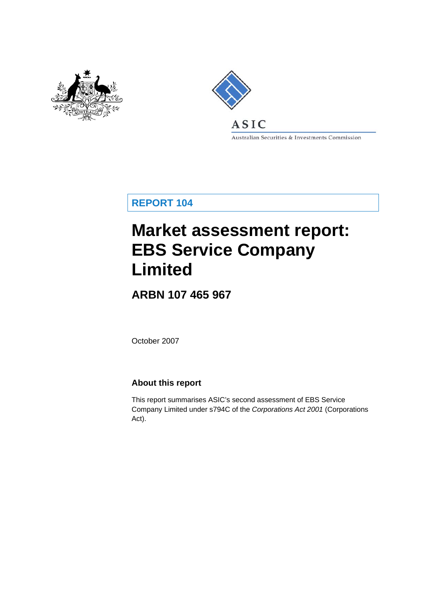



Australian Securities & Investments Commission

**REPORT 104** 

# **Market assessment report: EBS Service Company Limited**

**ARBN 107 465 967** 

October 2007

### **About this report**

This report summarises ASIC's second assessment of EBS Service Company Limited under s794C of the *Corporations Act 2001* (Corporations Act).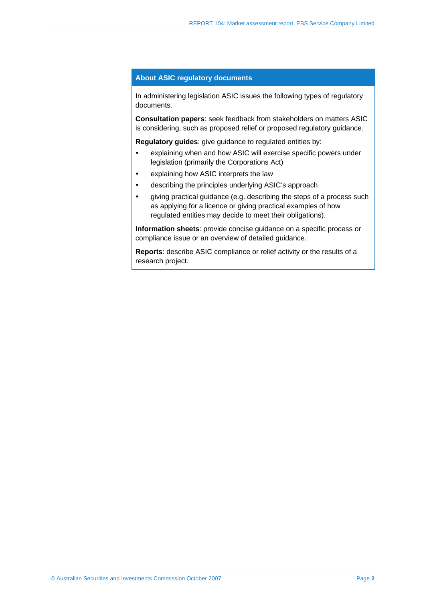#### **About ASIC regulatory documents**

In administering legislation ASIC issues the following types of regulatory documents.

**Consultation papers**: seek feedback from stakeholders on matters ASIC is considering, such as proposed relief or proposed regulatory guidance.

**Regulatory guides**: give guidance to regulated entities by:

- explaining when and how ASIC will exercise specific powers under legislation (primarily the Corporations Act)
- explaining how ASIC interprets the law
- describing the principles underlying ASIC's approach
- giving practical guidance (e.g. describing the steps of a process such as applying for a licence or giving practical examples of how regulated entities may decide to meet their obligations).

**Information sheets**: provide concise guidance on a specific process or compliance issue or an overview of detailed guidance.

**Reports**: describe ASIC compliance or relief activity or the results of a research project.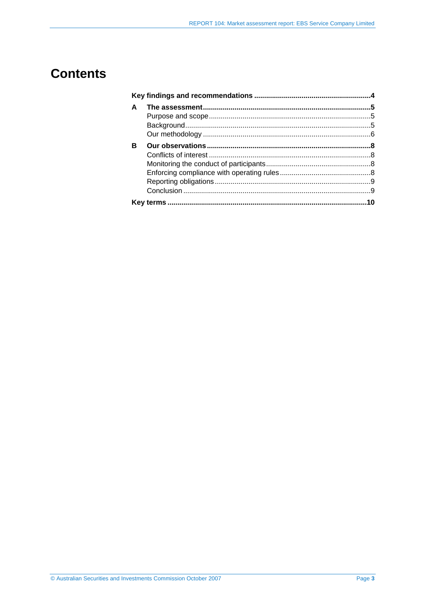## **Contents**

| A |  |
|---|--|
|   |  |
|   |  |
|   |  |
| в |  |
|   |  |
|   |  |
|   |  |
|   |  |
|   |  |
|   |  |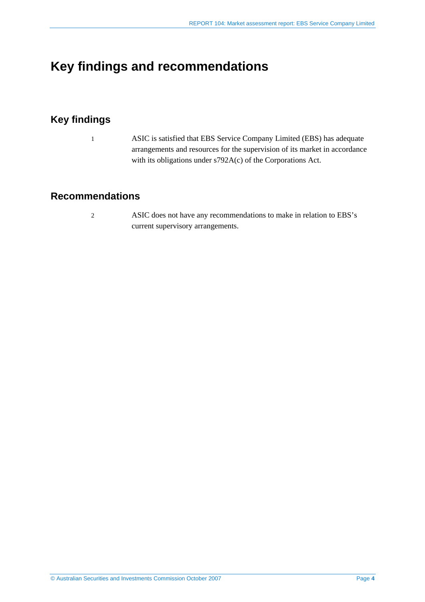## <span id="page-3-0"></span>**Key findings and recommendations**

## **Key findings**

1 ASIC is satisfied that EBS Service Company Limited (EBS) has adequate arrangements and resources for the supervision of its market in accordance with its obligations under s792A(c) of the Corporations Act.

### **Recommendations**

2 ASIC does not have any recommendations to make in relation to EBS's current supervisory arrangements.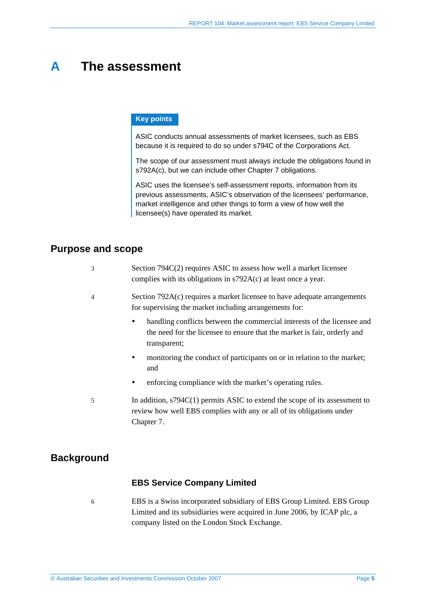## <span id="page-4-0"></span>**A The assessment**

#### **Key points**

ASIC conducts annual assessments of market licensees, such as EBS because it is required to do so under s794C of the Corporations Act.

The scope of our assessment must always include the obligations found in s792A(c), but we can include other Chapter 7 obligations.

ASIC uses the licensee's self-assessment reports, information from its previous assessments, ASIC's observation of the licensees' performance, market intelligence and other things to form a view of how well the licensee(s) have operated its market.

#### **Purpose and scope**

| Section 794C(2) requires ASIC to assess how well a market licensee |
|--------------------------------------------------------------------|
| complies with its obligations in $s792A(c)$ at least once a year.  |

- 4 Section 792A(c) requires a market licensee to have adequate arrangements for supervising the market including arrangements for:
	- handling conflicts between the commercial interests of the licensee and the need for the licensee to ensure that the market is fair, orderly and transparent;
	- monitoring the conduct of participants on or in relation to the market; and
	- enforcing compliance with the market's operating rules.
- 5 In addition, s794C(1) permits ASIC to extend the scope of its assessment to review how well EBS complies with any or all of its obligations under Chapter 7.

### **Background**

#### **EBS Service Company Limited**

6 EBS is a Swiss incorporated subsidiary of EBS Group Limited. EBS Group Limited and its subsidiaries were acquired in June 2006, by ICAP plc, a company listed on the London Stock Exchange.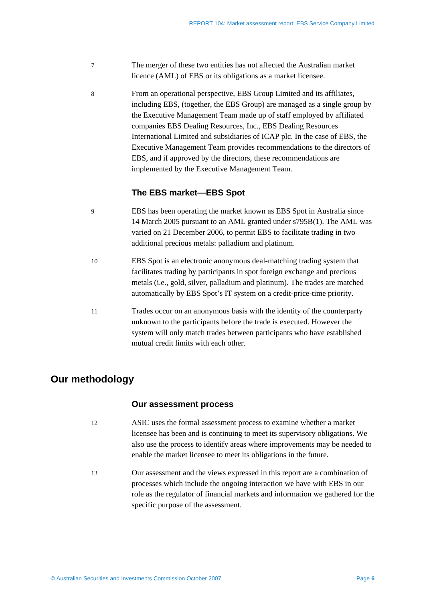- <span id="page-5-0"></span>7 The merger of these two entities has not affected the Australian market licence (AML) of EBS or its obligations as a market licensee.
- 8 From an operational perspective, EBS Group Limited and its affiliates, including EBS, (together, the EBS Group) are managed as a single group by the Executive Management Team made up of staff employed by affiliated companies EBS Dealing Resources, Inc., EBS Dealing Resources International Limited and subsidiaries of ICAP plc. In the case of EBS, the Executive Management Team provides recommendations to the directors of EBS, and if approved by the directors, these recommendations are implemented by the Executive Management Team.

#### **The EBS market—EBS Spot**

- 9 EBS has been operating the market known as EBS Spot in Australia since 14 March 2005 pursuant to an AML granted under s795B(1). The AML was varied on 21 December 2006, to permit EBS to facilitate trading in two additional precious metals: palladium and platinum.
- 10 EBS Spot is an electronic anonymous deal-matching trading system that facilitates trading by participants in spot foreign exchange and precious metals (i.e., gold, silver, palladium and platinum). The trades are matched automatically by EBS Spot's IT system on a credit-price-time priority.
- 11 Trades occur on an anonymous basis with the identity of the counterparty unknown to the participants before the trade is executed. However the system will only match trades between participants who have established mutual credit limits with each other.

## **Our methodology**

#### **Our assessment process**

- 12 ASIC uses the formal assessment process to examine whether a market licensee has been and is continuing to meet its supervisory obligations. We also use the process to identify areas where improvements may be needed to enable the market licensee to meet its obligations in the future.
- 13 Our assessment and the views expressed in this report are a combination of processes which include the ongoing interaction we have with EBS in our role as the regulator of financial markets and information we gathered for the specific purpose of the assessment.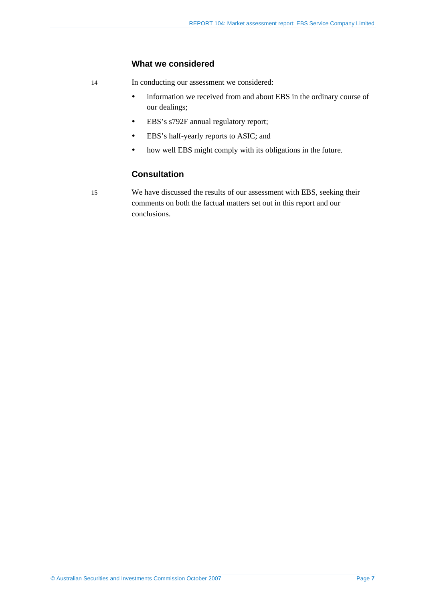#### **What we considered**

- 14 In conducting our assessment we considered:
	- information we received from and about EBS in the ordinary course of our dealings;
	- y EBS's s792F annual regulatory report;
	- y EBS's half-yearly reports to ASIC; and
	- how well EBS might comply with its obligations in the future.

#### **Consultation**

15 We have discussed the results of our assessment with EBS, seeking their comments on both the factual matters set out in this report and our conclusions.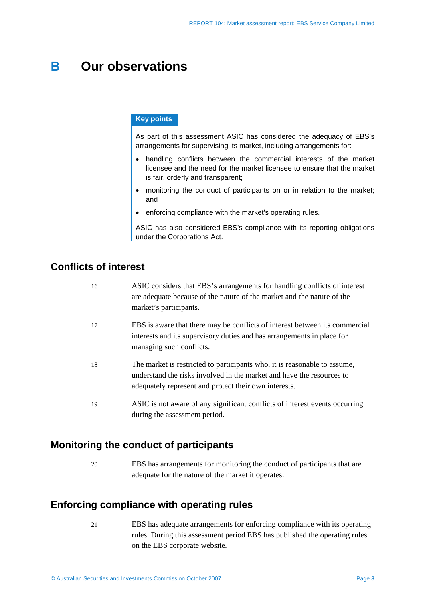## <span id="page-7-0"></span>**B Our observations**

#### **Key points**

As part of this assessment ASIC has considered the adequacy of EBS's arrangements for supervising its market, including arrangements for:

- handling conflicts between the commercial interests of the market licensee and the need for the market licensee to ensure that the market is fair, orderly and transparent;
- monitoring the conduct of participants on or in relation to the market; and
- enforcing compliance with the market's operating rules.

ASIC has also considered EBS's compliance with its reporting obligations under the Corporations Act.

## **Conflicts of interest**

| 16 | ASIC considers that EBS's arrangements for handling conflicts of interest<br>are adequate because of the nature of the market and the nature of the<br>market's participants.                               |
|----|-------------------------------------------------------------------------------------------------------------------------------------------------------------------------------------------------------------|
| 17 | EBS is aware that there may be conflicts of interest between its commercial<br>interests and its supervisory duties and has arrangements in place for<br>managing such conflicts.                           |
| 18 | The market is restricted to participants who, it is reasonable to assume,<br>understand the risks involved in the market and have the resources to<br>adequately represent and protect their own interests. |
| 19 | ASIC is not aware of any significant conflicts of interest events occurring<br>during the assessment period.                                                                                                |

### **Monitoring the conduct of participants**

20 EBS has arrangements for monitoring the conduct of participants that are adequate for the nature of the market it operates.

### **Enforcing compliance with operating rules**

21 EBS has adequate arrangements for enforcing compliance with its operating rules. During this assessment period EBS has published the operating rules on the EBS corporate website.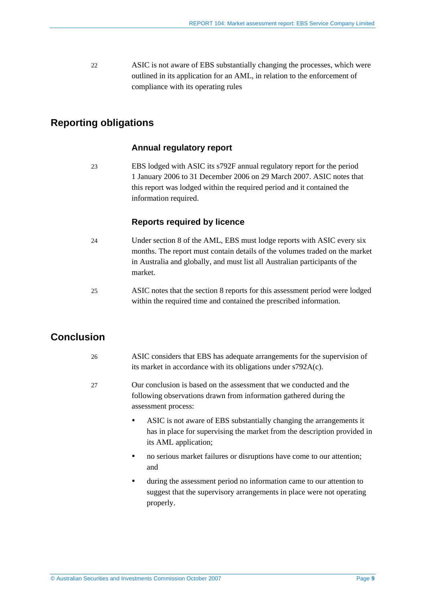<span id="page-8-0"></span>22 ASIC is not aware of EBS substantially changing the processes, which were outlined in its application for an AML, in relation to the enforcement of compliance with its operating rules

## **Reporting obligations**

#### **Annual regulatory report**

23 EBS lodged with ASIC its s792F annual regulatory report for the period 1 January 2006 to 31 December 2006 on 29 March 2007. ASIC notes that this report was lodged within the required period and it contained the information required.

#### **Reports required by licence**

- 24 Under section 8 of the AML, EBS must lodge reports with ASIC every six months. The report must contain details of the volumes traded on the market in Australia and globally, and must list all Australian participants of the market.
- 25 ASIC notes that the section 8 reports for this assessment period were lodged within the required time and contained the prescribed information.

## **Conclusion**

- 26 ASIC considers that EBS has adequate arrangements for the supervision of its market in accordance with its obligations under s792A(c).
- 27 Our conclusion is based on the assessment that we conducted and the following observations drawn from information gathered during the assessment process:
	- y ASIC is not aware of EBS substantially changing the arrangements it has in place for supervising the market from the description provided in its AML application;
	- no serious market failures or disruptions have come to our attention; and
	- y during the assessment period no information came to our attention to suggest that the supervisory arrangements in place were not operating properly.